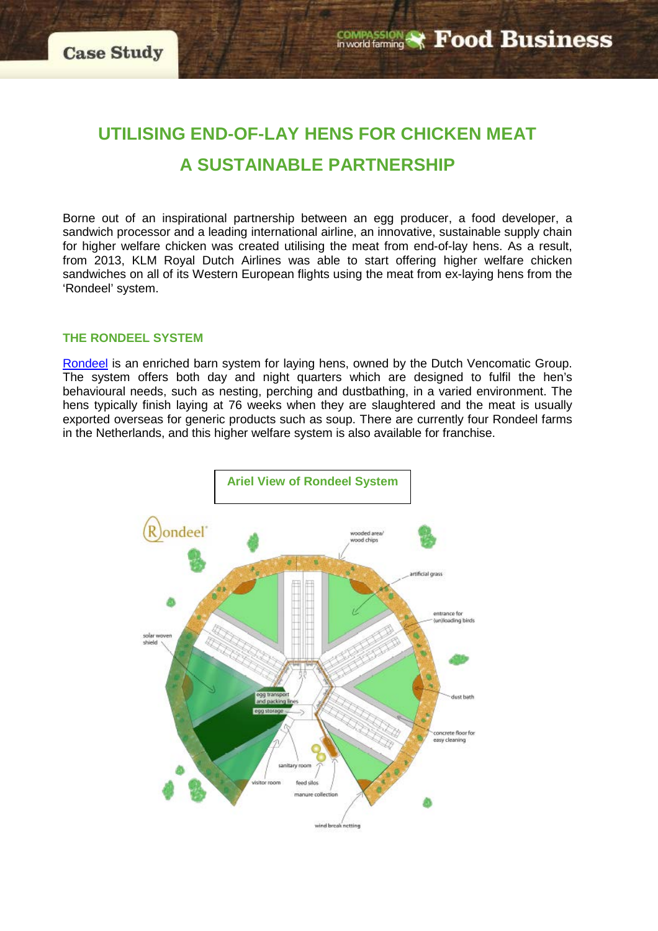# **UTILISING END-OF-LAY HENS FOR CHICKEN MEAT A SUSTAINABLE PARTNERSHIP**

Borne out of an inspirational partnership between an egg producer, a food developer, a sandwich processor and a leading international airline, an innovative, sustainable supply chain for higher welfare chicken was created utilising the meat from end-of-lay hens. As a result, from 2013, KLM Royal Dutch Airlines was able to start offering higher welfare chicken sandwiches on all of its Western European flights using the meat from ex-laying hens from the 'Rondeel' system.

#### **THE RONDEEL SYSTEM**

[Rondeel](http://www.rondeel.org/) is an enriched barn system for laying hens, owned by the Dutch Vencomatic Group. The system offers both day and night quarters which are designed to fulfil the hen's behavioural needs, such as nesting, perching and dustbathing, in a varied environment. The hens typically finish laying at 76 weeks when they are slaughtered and the meat is usually exported overseas for generic products such as soup. There are currently four Rondeel farms in the Netherlands, and this higher welfare system is also available for franchise.

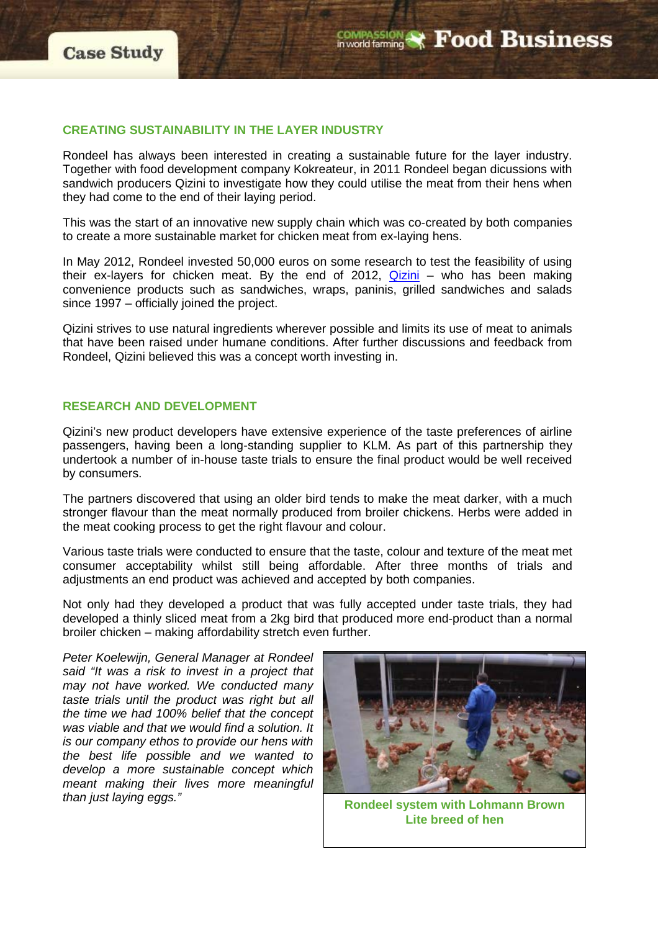# **CREATING SUSTAINABILITY IN THE LAYER INDUSTRY**

Rondeel has always been interested in creating a sustainable future for the layer industry. Together with food development company Kokreateur, in 2011 Rondeel began dicussions with sandwich producers Qizini to investigate how they could utilise the meat from their hens when they had come to the end of their laying period.

This was the start of an innovative new supply chain which was co-created by both companies to create a more sustainable market for chicken meat from ex-laying hens.

In May 2012, Rondeel invested 50,000 euros on some research to test the feasibility of using their ex-layers for chicken meat. By the end of 2012, [Qizini](http://www.qizini.nl/en/sustainability) – who has been making convenience products such as sandwiches, wraps, paninis, grilled sandwiches and salads since 1997 – officially joined the project.

Qizini strives to use natural ingredients wherever possible and limits its use of meat to animals that have been raised under humane conditions. After further discussions and feedback from Rondeel, Qizini believed this was a concept worth investing in.

# **RESEARCH AND DEVELOPMENT**

Qizini's new product developers have extensive experience of the taste preferences of airline passengers, having been a long-standing supplier to KLM. As part of this partnership they undertook a number of in-house taste trials to ensure the final product would be well received by consumers.

The partners discovered that using an older bird tends to make the meat darker, with a much stronger flavour than the meat normally produced from broiler chickens. Herbs were added in the meat cooking process to get the right flavour and colour.

Various taste trials were conducted to ensure that the taste, colour and texture of the meat met consumer acceptability whilst still being affordable. After three months of trials and adjustments an end product was achieved and accepted by both companies.

Not only had they developed a product that was fully accepted under taste trials, they had developed a thinly sliced meat from a 2kg bird that produced more end-product than a normal broiler chicken – making affordability stretch even further.

*Peter Koelewijn, General Manager at Rondeel said "It was a risk to invest in a project that may not have worked. We conducted many taste trials until the product was right but all the time we had 100% belief that the concept was viable and that we would find a solution. It is our company ethos to provide our hens with the best life possible and we wanted to develop a more sustainable concept which meant making their lives more meaningful Rondeel system with Lohmann Brown Rondeel system with Lohmann Brown* 



**Lite breed of hen**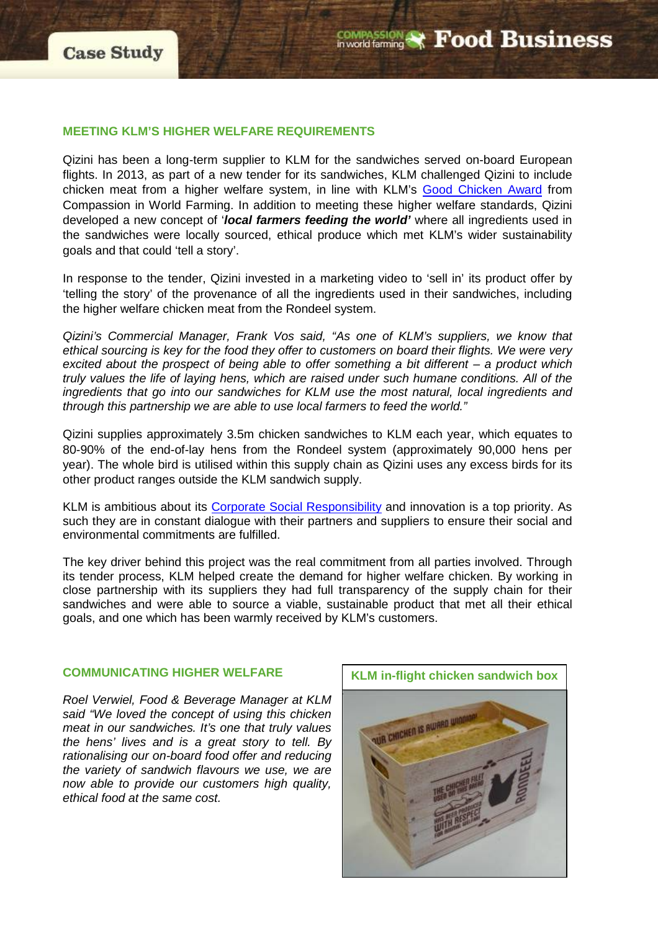#### **MEETING KLM'S HIGHER WELFARE REQUIREMENTS**

Qizini has been a long-term supplier to KLM for the sandwiches served on-board European flights. In 2013, as part of a new tender for its sandwiches, KLM challenged Qizini to include chicken meat from a higher welfare system, in line with KLM's [Good Chicken Award](http://www.compassioninfoodbusiness.com/awards/good-chicken-award/) from Compassion in World Farming. In addition to meeting these higher welfare standards, Qizini developed a new concept of '*local farmers feeding the world'* where all ingredients used in the sandwiches were locally sourced, ethical produce which met KLM's wider sustainability goals and that could 'tell a story'.

In response to the tender, Qizini invested in a marketing video to 'sell in' its product offer by 'telling the story' of the provenance of all the ingredients used in their sandwiches, including the higher welfare chicken meat from the Rondeel system.

*Qizini's Commercial Manager, Frank Vos said, "As one of KLM's suppliers, we know that ethical sourcing is key for the food they offer to customers on board their flights. We were very excited about the prospect of being able to offer something a bit different – a product which truly values the life of laying hens, which are raised under such humane conditions. All of the ingredients that go into our sandwiches for KLM use the most natural, local ingredients and through this partnership we are able to use local farmers to feed the world."*

Qizini supplies approximately 3.5m chicken sandwiches to KLM each year, which equates to 80-90% of the end-of-lay hens from the Rondeel system (approximately 90,000 hens per year). The whole bird is utilised within this supply chain as Qizini uses any excess birds for its other product ranges outside the KLM sandwich supply.

KLM is ambitious about its [Corporate Social Responsibility](http://www.klm.com/corporate/en/topics/corporate-social-resposibility/index.html) and innovation is a top priority. As such they are in constant dialogue with their partners and suppliers to ensure their social and environmental commitments are fulfilled.

The key driver behind this project was the real commitment from all parties involved. Through its tender process, KLM helped create the demand for higher welfare chicken. By working in close partnership with its suppliers they had full transparency of the supply chain for their sandwiches and were able to source a viable, sustainable product that met all their ethical goals, and one which has been warmly received by KLM's customers.

#### **COMMUNICATING HIGHER WELFARE**

*Roel Verwiel, Food & Beverage Manager at KLM said "We loved the concept of using this chicken meat in our sandwiches. It's one that truly values the hens' lives and is a great story to tell. By rationalising our on-board food offer and reducing the variety of sandwich flavours we use, we are now able to provide our customers high quality, ethical food at the same cost.*

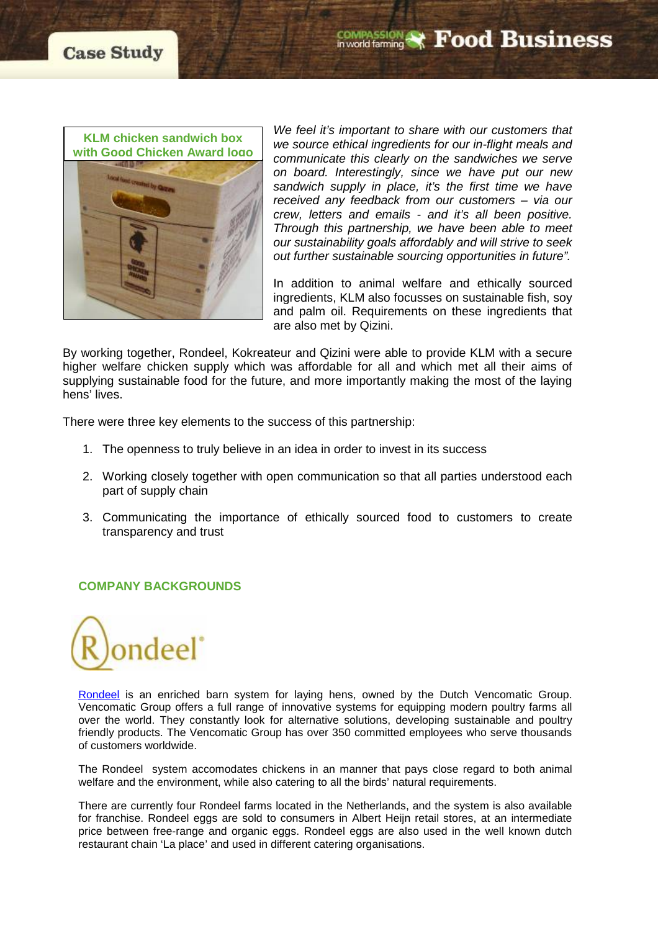

*We feel it's important to share with our customers that we source ethical ingredients for our in-flight meals and communicate this clearly on the sandwiches we serve on board. Interestingly, since we have put our new sandwich supply in place, it's the first time we have received any feedback from our customers – via our crew, letters and emails - and it's all been positive. Through this partnership, we have been able to meet our sustainability goals affordably and will strive to seek out further sustainable sourcing opportunities in future".*

In addition to animal welfare and ethically sourced ingredients, KLM also focusses on sustainable fish, soy and palm oil. Requirements on these ingredients that are also met by Qizini.

By working together, Rondeel, Kokreateur and Qizini were able to provide KLM with a secure higher welfare chicken supply which was affordable for all and which met all their aims of supplying sustainable food for the future, and more importantly making the most of the laying hens' lives.

There were three key elements to the success of this partnership:

- 1. The openness to truly believe in an idea in order to invest in its success
- 2. Working closely together with open communication so that all parties understood each part of supply chain
- 3. Communicating the importance of ethically sourced food to customers to create transparency and trust

# **COMPANY BACKGROUNDS**



[Rondeel](http://www.rondeel.org/) is an enriched barn system for laying hens, owned by the Dutch Vencomatic Group. Vencomatic Group offers a full range of innovative systems for equipping modern poultry farms all over the world. They constantly look for alternative solutions, developing sustainable and poultry friendly products. The Vencomatic Group has over 350 committed employees who serve thousands of customers worldwide.

The Rondeel system accomodates chickens in an manner that pays close regard to both animal welfare and the environment, while also catering to all the birds' natural requirements.

There are currently four Rondeel farms located in the Netherlands, and the system is also available for franchise. Rondeel eggs are sold to consumers in Albert Heijn retail stores, at an intermediate price between free-range and organic eggs. Rondeel eggs are also used in the well known dutch restaurant chain 'La place' and used in different catering organisations.